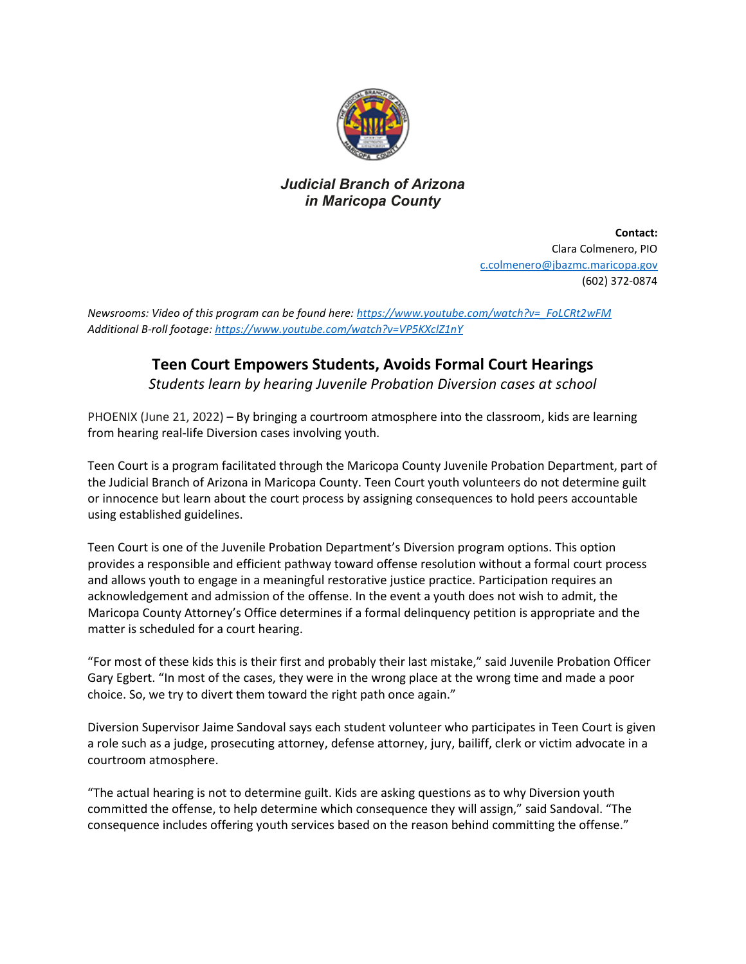

## *Judicial Branch of Arizona in Maricopa County*

**Contact:** Clara Colmenero, PIO c.colmenero@jbazmc.maricopa.gov (602) 372-0874

*Newsrooms: Video of this program can be found here: [https://www.youtube.com/watch?v=\\_FoLCRt2wFM](https://www.youtube.com/watch?v=_FoLCRt2wFM) Additional B-roll footage[: https://www.youtube.com/watch?v=VP5KXclZ1nY](https://www.youtube.com/watch?v=VP5KXclZ1nY)*

## **Teen Court Empowers Students, Avoids Formal Court Hearings**

*Students learn by hearing Juvenile Probation Diversion cases at school*

PHOENIX (June 21, 2022) – By bringing a courtroom atmosphere into the classroom, kids are learning from hearing real-life Diversion cases involving youth.

Teen Court is a program facilitated through the Maricopa County Juvenile Probation Department, part of the Judicial Branch of Arizona in Maricopa County. Teen Court youth volunteers do not determine guilt or innocence but learn about the court process by assigning consequences to hold peers accountable using established guidelines.

Teen Court is one of the Juvenile Probation Department's Diversion program options. This option provides a responsible and efficient pathway toward offense resolution without a formal court process and allows youth to engage in a meaningful restorative justice practice. Participation requires an acknowledgement and admission of the offense. In the event a youth does not wish to admit, the Maricopa County Attorney's Office determines if a formal delinquency petition is appropriate and the matter is scheduled for a court hearing.

"For most of these kids this is their first and probably their last mistake," said Juvenile Probation Officer Gary Egbert. "In most of the cases, they were in the wrong place at the wrong time and made a poor choice. So, we try to divert them toward the right path once again."

Diversion Supervisor Jaime Sandoval says each student volunteer who participates in Teen Court is given a role such as a judge, prosecuting attorney, defense attorney, jury, bailiff, clerk or victim advocate in a courtroom atmosphere.

"The actual hearing is not to determine guilt. Kids are asking questions as to why Diversion youth committed the offense, to help determine which consequence they will assign," said Sandoval. "The consequence includes offering youth services based on the reason behind committing the offense."